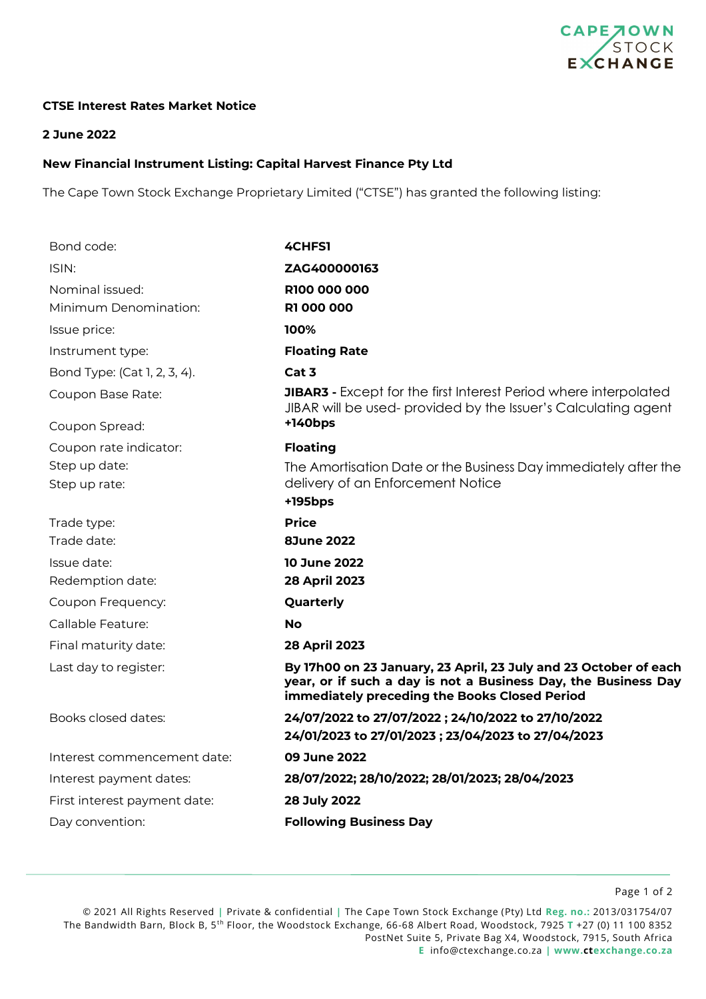

## **CTSE Interest Rates Market Notice**

## **2 June 2022**

## **New Financial Instrument Listing: Capital Harvest Finance Pty Ltd**

The Cape Town Stock Exchange Proprietary Limited ("CTSE") has granted the following listing:

| Bond code:                      | 4CHFS1                                                                                                                                                                              |
|---------------------------------|-------------------------------------------------------------------------------------------------------------------------------------------------------------------------------------|
| ISIN:                           | ZAG400000163                                                                                                                                                                        |
| Nominal issued:                 | R100 000 000                                                                                                                                                                        |
| Minimum Denomination:           | <b>R1 000 000</b>                                                                                                                                                                   |
| Issue price:                    | 100%                                                                                                                                                                                |
| Instrument type:                | <b>Floating Rate</b>                                                                                                                                                                |
| Bond Type: (Cat 1, 2, 3, 4).    | Cat 3                                                                                                                                                                               |
| Coupon Base Rate:               | <b>JIBAR3</b> - Except for the first Interest Period where interpolated<br>JIBAR will be used-provided by the Issuer's Calculating agent                                            |
| Coupon Spread:                  | $+140bps$                                                                                                                                                                           |
| Coupon rate indicator:          | <b>Floating</b>                                                                                                                                                                     |
| Step up date:                   | The Amortisation Date or the Business Day immediately after the                                                                                                                     |
| Step up rate:                   | delivery of an Enforcement Notice                                                                                                                                                   |
|                                 | +195bps                                                                                                                                                                             |
| Trade type:<br>Trade date:      | <b>Price</b><br><b>8June 2022</b>                                                                                                                                                   |
|                                 |                                                                                                                                                                                     |
| Issue date:<br>Redemption date: | <b>10 June 2022</b><br>28 April 2023                                                                                                                                                |
| Coupon Frequency:               | Quarterly                                                                                                                                                                           |
| Callable Feature:               | <b>No</b>                                                                                                                                                                           |
|                                 |                                                                                                                                                                                     |
| Final maturity date:            | 28 April 2023                                                                                                                                                                       |
| Last day to register:           | By 17h00 on 23 January, 23 April, 23 July and 23 October of each<br>year, or if such a day is not a Business Day, the Business Day<br>immediately preceding the Books Closed Period |
| Books closed dates:             | 24/07/2022 to 27/07/2022; 24/10/2022 to 27/10/2022                                                                                                                                  |
|                                 | 24/01/2023 to 27/01/2023; 23/04/2023 to 27/04/2023                                                                                                                                  |
| Interest commencement date:     | 09 June 2022                                                                                                                                                                        |
| Interest payment dates:         | 28/07/2022; 28/10/2022; 28/01/2023; 28/04/2023                                                                                                                                      |
| First interest payment date:    | 28 July 2022                                                                                                                                                                        |
| Day convention:                 | <b>Following Business Day</b>                                                                                                                                                       |
|                                 |                                                                                                                                                                                     |